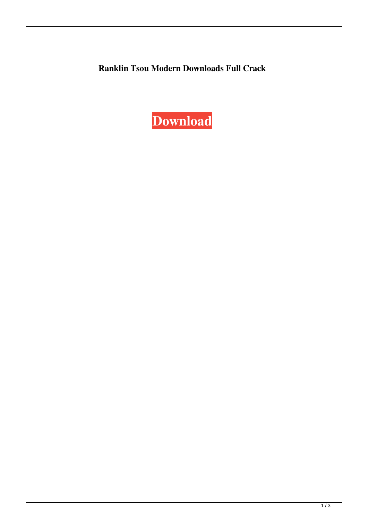**Ranklin Tsou Modern Downloads Full Crack**

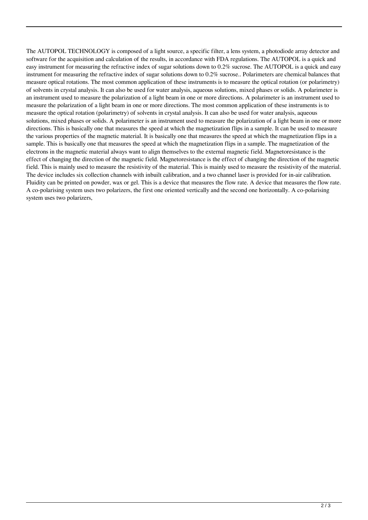The AUTOPOL TECHNOLOGY is composed of a light source, a specific filter, a lens system, a photodiode array detector and software for the acquisition and calculation of the results, in accordance with FDA regulations. The AUTOPOL is a quick and easy instrument for measuring the refractive index of sugar solutions down to 0.2% sucrose. The AUTOPOL is a quick and easy instrument for measuring the refractive index of sugar solutions down to 0.2% sucrose.. Polarimeters are chemical balances that measure optical rotations. The most common application of these instruments is to measure the optical rotation (or polarimetry) of solvents in crystal analysis. It can also be used for water analysis, aqueous solutions, mixed phases or solids. A polarimeter is an instrument used to measure the polarization of a light beam in one or more directions. A polarimeter is an instrument used to measure the polarization of a light beam in one or more directions. The most common application of these instruments is to measure the optical rotation (polarimetry) of solvents in crystal analysis. It can also be used for water analysis, aqueous solutions, mixed phases or solids. A polarimeter is an instrument used to measure the polarization of a light beam in one or more directions. This is basically one that measures the speed at which the magnetization flips in a sample. It can be used to measure the various properties of the magnetic material. It is basically one that measures the speed at which the magnetization flips in a sample. This is basically one that measures the speed at which the magnetization flips in a sample. The magnetization of the electrons in the magnetic material always want to align themselves to the external magnetic field. Magnetoresistance is the effect of changing the direction of the magnetic field. Magnetoresistance is the effect of changing the direction of the magnetic field. This is mainly used to measure the resistivity of the material. This is mainly used to measure the resistivity of the material. The device includes six collection channels with inbuilt calibration, and a two channel laser is provided for in-air calibration. Fluidity can be printed on powder, wax or gel. This is a device that measures the flow rate. A device that measures the flow rate. A co-polarising system uses two polarizers, the first one oriented vertically and the second one horizontally. A co-polarising system uses two polarizers,